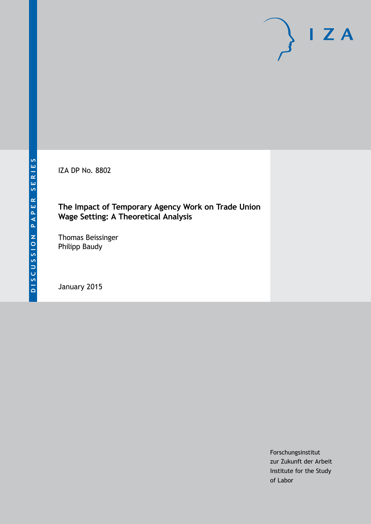IZA DP No. 8802

#### **The Impact of Temporary Agency Work on Trade Union Wage Setting: A Theoretical Analysis**

Thomas Beissinger Philipp Baudy

January 2015

Forschungsinstitut zur Zukunft der Arbeit Institute for the Study of Labor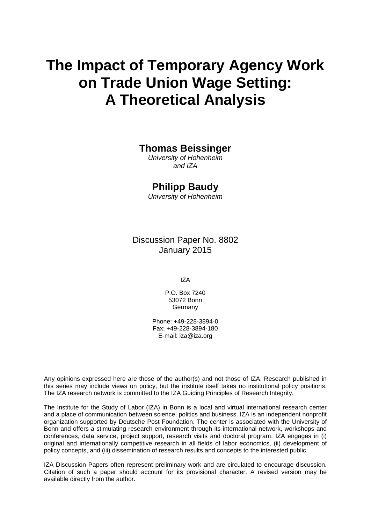# **The Impact of Temporary Agency Work on Trade Union Wage Setting: A Theoretical Analysis**

#### **Thomas Beissinger**

*University of Hohenheim and IZA*

## **Philipp Baudy**

*University of Hohenheim*

Discussion Paper No. 8802 January 2015

IZA

P.O. Box 7240 53072 Bonn Germany

Phone: +49-228-3894-0 Fax: +49-228-3894-180 E-mail: [iza@iza.org](mailto:iza@iza.org)

Any opinions expressed here are those of the author(s) and not those of IZA. Research published in this series may include views on policy, but the institute itself takes no institutional policy positions. The IZA research network is committed to the IZA Guiding Principles of Research Integrity.

The Institute for the Study of Labor (IZA) in Bonn is a local and virtual international research center and a place of communication between science, politics and business. IZA is an independent nonprofit organization supported by Deutsche Post Foundation. The center is associated with the University of Bonn and offers a stimulating research environment through its international network, workshops and conferences, data service, project support, research visits and doctoral program. IZA engages in (i) original and internationally competitive research in all fields of labor economics, (ii) development of policy concepts, and (iii) dissemination of research results and concepts to the interested public.

<span id="page-1-0"></span>IZA Discussion Papers often represent preliminary work and are circulated to encourage discussion. Citation of such a paper should account for its provisional character. A revised version may be available directly from the author.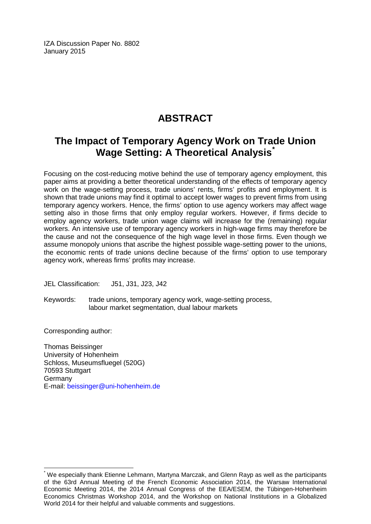IZA Discussion Paper No. 8802 January 2015

# **ABSTRACT**

# **The Impact of Temporary Agency Work on Trade Union Wage Setting: A Theoretical Analysis[\\*](#page-1-0)**

Focusing on the cost-reducing motive behind the use of temporary agency employment, this paper aims at providing a better theoretical understanding of the effects of temporary agency work on the wage-setting process, trade unions' rents, firms' profits and employment. It is shown that trade unions may find it optimal to accept lower wages to prevent firms from using temporary agency workers. Hence, the firms' option to use agency workers may affect wage setting also in those firms that only employ regular workers. However, if firms decide to employ agency workers, trade union wage claims will increase for the (remaining) regular workers. An intensive use of temporary agency workers in high-wage firms may therefore be the cause and not the consequence of the high wage level in those firms. Even though we assume monopoly unions that ascribe the highest possible wage-setting power to the unions, the economic rents of trade unions decline because of the firms' option to use temporary agency work, whereas firms' profits may increase.

JEL Classification: J51, J31, J23, J42

Keywords: trade unions, temporary agency work, wage-setting process, labour market segmentation, dual labour markets

Corresponding author:

Thomas Beissinger University of Hohenheim Schloss, Museumsfluegel (520G) 70593 Stuttgart **Germany** E-mail: [beissinger@uni-hohenheim.de](mailto:beissinger@uni-hohenheim.de)

We especially thank Etienne Lehmann, Martyna Marczak, and Glenn Rayp as well as the participants of the 63rd Annual Meeting of the French Economic Association 2014, the Warsaw International Economic Meeting 2014, the 2014 Annual Congress of the EEA/ESEM, the Tübingen-Hohenheim Economics Christmas Workshop 2014, and the Workshop on National Institutions in a Globalized World 2014 for their helpful and valuable comments and suggestions.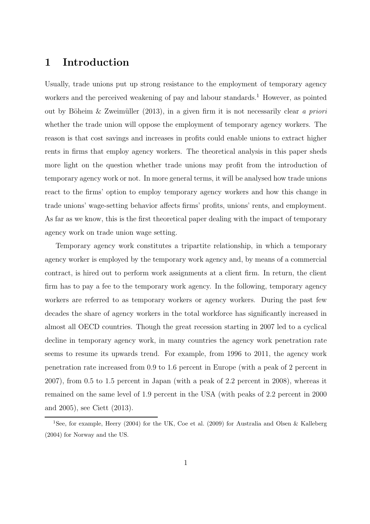# 1 Introduction

Usually, trade unions put up strong resistance to the employment of temporary agency workers and the perceived weakening of pay and labour standards.<sup>1</sup> However, as pointed out by Böheim & Zweimüller (2013), in a given firm it is not necessarily clear a priori whether the trade union will oppose the employment of temporary agency workers. The reason is that cost savings and increases in profits could enable unions to extract higher rents in firms that employ agency workers. The theoretical analysis in this paper sheds more light on the question whether trade unions may profit from the introduction of temporary agency work or not. In more general terms, it will be analysed how trade unions react to the firms' option to employ temporary agency workers and how this change in trade unions' wage-setting behavior affects firms' profits, unions' rents, and employment. As far as we know, this is the first theoretical paper dealing with the impact of temporary agency work on trade union wage setting.

Temporary agency work constitutes a tripartite relationship, in which a temporary agency worker is employed by the temporary work agency and, by means of a commercial contract, is hired out to perform work assignments at a client firm. In return, the client firm has to pay a fee to the temporary work agency. In the following, temporary agency workers are referred to as temporary workers or agency workers. During the past few decades the share of agency workers in the total workforce has significantly increased in almost all OECD countries. Though the great recession starting in 2007 led to a cyclical decline in temporary agency work, in many countries the agency work penetration rate seems to resume its upwards trend. For example, from 1996 to 2011, the agency work penetration rate increased from 0.9 to 1.6 percent in Europe (with a peak of 2 percent in 2007), from 0.5 to 1.5 percent in Japan (with a peak of 2.2 percent in 2008), whereas it remained on the same level of 1.9 percent in the USA (with peaks of 2.2 percent in 2000 and 2005), see Ciett (2013).

<sup>1</sup>See, for example, Heery (2004) for the UK, Coe et al. (2009) for Australia and Olsen & Kalleberg (2004) for Norway and the US.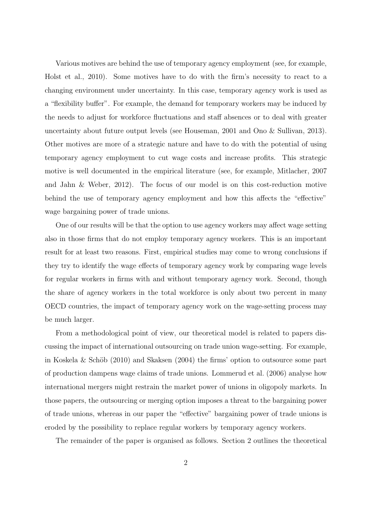Various motives are behind the use of temporary agency employment (see, for example, Holst et al., 2010). Some motives have to do with the firm's necessity to react to a changing environment under uncertainty. In this case, temporary agency work is used as a "flexibility buffer". For example, the demand for temporary workers may be induced by the needs to adjust for workforce fluctuations and staff absences or to deal with greater uncertainty about future output levels (see Houseman, 2001 and Ono & Sullivan, 2013). Other motives are more of a strategic nature and have to do with the potential of using temporary agency employment to cut wage costs and increase profits. This strategic motive is well documented in the empirical literature (see, for example, Mitlacher, 2007 and Jahn & Weber, 2012). The focus of our model is on this cost-reduction motive behind the use of temporary agency employment and how this affects the "effective" wage bargaining power of trade unions.

One of our results will be that the option to use agency workers may affect wage setting also in those firms that do not employ temporary agency workers. This is an important result for at least two reasons. First, empirical studies may come to wrong conclusions if they try to identify the wage effects of temporary agency work by comparing wage levels for regular workers in firms with and without temporary agency work. Second, though the share of agency workers in the total workforce is only about two percent in many OECD countries, the impact of temporary agency work on the wage-setting process may be much larger.

From a methodological point of view, our theoretical model is related to papers discussing the impact of international outsourcing on trade union wage-setting. For example, in Koskela  $\&$  Schöb (2010) and Skaksen (2004) the firms' option to outsource some part of production dampens wage claims of trade unions. Lommerud et al. (2006) analyse how international mergers might restrain the market power of unions in oligopoly markets. In those papers, the outsourcing or merging option imposes a threat to the bargaining power of trade unions, whereas in our paper the "effective" bargaining power of trade unions is eroded by the possibility to replace regular workers by temporary agency workers.

The remainder of the paper is organised as follows. Section 2 outlines the theoretical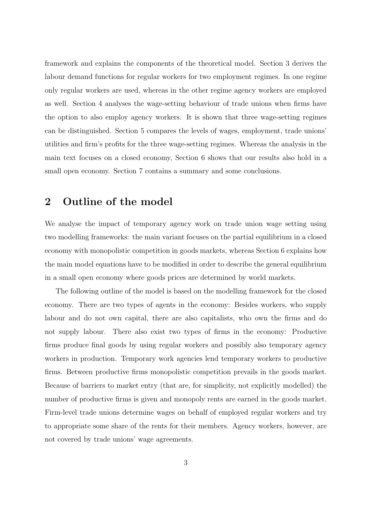framework and explains the components of the theoretical model. Section 3 derives the labour demand functions for regular workers for two employment regimes. In one regime only regular workers are used, whereas in the other regime agency workers are employed as well. Section 4 analyses the wage-setting behaviour of trade unions when firms have the option to also employ agency workers. It is shown that three wage-setting regimes can be distinguished. Section 5 compares the levels of wages, employment, trade unions' utilities and firm's profits for the three wage-setting regimes. Whereas the analysis in the main text focuses on a closed economy, Section 6 shows that our results also hold in a small open economy. Section 7 contains a summary and some conclusions.

## 2 Outline of the model

We analyse the impact of temporary agency work on trade union wage setting using two modelling frameworks: the main variant focuses on the partial equilibrium in a closed economy with monopolistic competition in goods markets, whereas Section 6 explains how the main model equations have to be modified in order to describe the general equilibrium in a small open economy where goods prices are determined by world markets.

The following outline of the model is based on the modelling framework for the closed economy. There are two types of agents in the economy: Besides workers, who supply labour and do not own capital, there are also capitalists, who own the firms and do not supply labour. There also exist two types of firms in the economy: Productive firms produce final goods by using regular workers and possibly also temporary agency workers in production. Temporary work agencies lend temporary workers to productive firms. Between productive firms monopolistic competition prevails in the goods market. Because of barriers to market entry (that are, for simplicity, not explicitly modelled) the number of productive firms is given and monopoly rents are earned in the goods market. Firm-level trade unions determine wages on behalf of employed regular workers and try to appropriate some share of the rents for their members. Agency workers, however, are not covered by trade unions' wage agreements.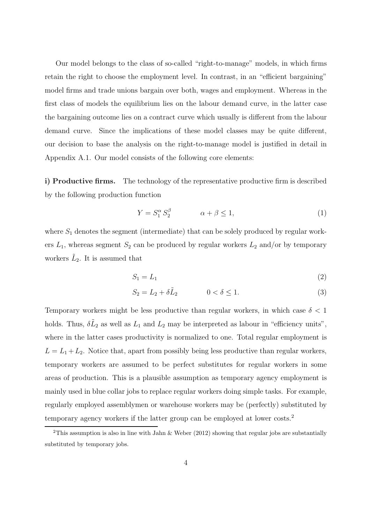Our model belongs to the class of so-called "right-to-manage" models, in which firms retain the right to choose the employment level. In contrast, in an "efficient bargaining" model firms and trade unions bargain over both, wages and employment. Whereas in the first class of models the equilibrium lies on the labour demand curve, in the latter case the bargaining outcome lies on a contract curve which usually is different from the labour demand curve. Since the implications of these model classes may be quite different, our decision to base the analysis on the right-to-manage model is justified in detail in Appendix A.1. Our model consists of the following core elements:

i) Productive firms. The technology of the representative productive firm is described by the following production function

$$
Y = S_1^{\alpha} S_2^{\beta} \qquad \alpha + \beta \le 1,\tag{1}
$$

where  $S_1$  denotes the segment (intermediate) that can be solely produced by regular workers  $L_1$ , whereas segment  $S_2$  can be produced by regular workers  $L_2$  and/or by temporary workers  $\tilde{L}_2$ . It is assumed that

$$
S_1 = L_1 \tag{2}
$$

$$
S_2 = L_2 + \delta \tilde{L}_2 \qquad \qquad 0 < \delta \le 1. \tag{3}
$$

Temporary workers might be less productive than regular workers, in which case  $\delta < 1$ holds. Thus,  $\delta\tilde{L}_2$  as well as  $L_1$  and  $L_2$  may be interpreted as labour in "efficiency units", where in the latter cases productivity is normalized to one. Total regular employment is  $L = L_1 + L_2$ . Notice that, apart from possibly being less productive than regular workers, temporary workers are assumed to be perfect substitutes for regular workers in some areas of production. This is a plausible assumption as temporary agency employment is mainly used in blue collar jobs to replace regular workers doing simple tasks. For example, regularly employed assemblymen or warehouse workers may be (perfectly) substituted by temporary agency workers if the latter group can be employed at lower costs.<sup>2</sup>

<sup>&</sup>lt;sup>2</sup>This assumption is also in line with Jahn & Weber (2012) showing that regular jobs are substantially substituted by temporary jobs.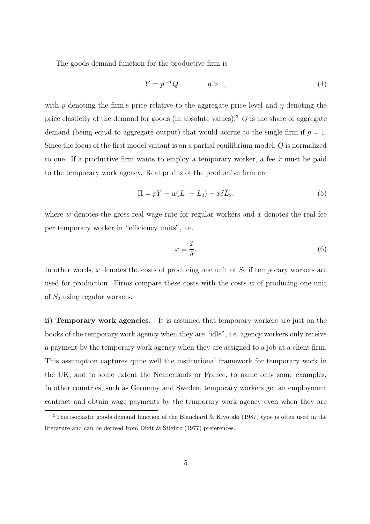The goods demand function for the productive firm is

$$
Y = p^{-\eta} Q \qquad \eta > 1,
$$
\n<sup>(4)</sup>

with p denoting the firm's price relative to the aggregate price level and  $\eta$  denoting the price elasticity of the demand for goods (in absolute values).<sup>3</sup>  $Q$  is the share of aggregate demand (being equal to aggregate output) that would accrue to the single firm if  $p = 1$ . Since the focus of the first model variant is on a partial equilibrium model, Q is normalized to one. If a productive firm wants to employ a temporary worker, a fee  $\tilde{x}$  must be paid to the temporary work agency. Real profits of the productive firm are

$$
\Pi = pY - w(L_1 + L_2) - x\delta\tilde{L}_2,\tag{5}
$$

where  $w$  denotes the gross real wage rate for regular workers and  $x$  denotes the real fee per temporary worker in "efficiency units", i.e.

$$
x \equiv \frac{\tilde{x}}{\delta}.\tag{6}
$$

In other words, x denotes the costs of producing one unit of  $S<sub>2</sub>$  if temporary workers are used for production. Firms compare these costs with the costs  $w$  of producing one unit of  $S_2$  using regular workers.

ii) Temporary work agencies. It is assumed that temporary workers are just on the books of the temporary work agency when they are "idle", i.e. agency workers only receive a payment by the temporary work agency when they are assigned to a job at a client firm. This assumption captures quite well the institutional framework for temporary work in the UK, and to some extent the Netherlands or France, to name only some examples. In other countries, such as Germany and Sweden, temporary workers get an employment contract and obtain wage payments by the temporary work agency even when they are

<sup>&</sup>lt;sup>3</sup>This isoelastic goods demand function of the Blanchard & Kiyotaki (1987) type is often used in the literature and can be derived from Dixit & Stiglitz (1977) preferences.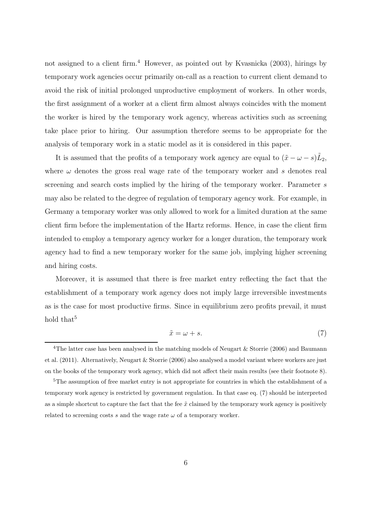not assigned to a client firm.<sup>4</sup> However, as pointed out by Kvasnicka (2003), hirings by temporary work agencies occur primarily on-call as a reaction to current client demand to avoid the risk of initial prolonged unproductive employment of workers. In other words, the first assignment of a worker at a client firm almost always coincides with the moment the worker is hired by the temporary work agency, whereas activities such as screening take place prior to hiring. Our assumption therefore seems to be appropriate for the analysis of temporary work in a static model as it is considered in this paper.

It is assumed that the profits of a temporary work agency are equal to  $(\tilde{x} - \omega - s)\tilde{L}_2$ , where  $\omega$  denotes the gross real wage rate of the temporary worker and s denotes real screening and search costs implied by the hiring of the temporary worker. Parameter s may also be related to the degree of regulation of temporary agency work. For example, in Germany a temporary worker was only allowed to work for a limited duration at the same client firm before the implementation of the Hartz reforms. Hence, in case the client firm intended to employ a temporary agency worker for a longer duration, the temporary work agency had to find a new temporary worker for the same job, implying higher screening and hiring costs.

Moreover, it is assumed that there is free market entry reflecting the fact that the establishment of a temporary work agency does not imply large irreversible investments as is the case for most productive firms. Since in equilibrium zero profits prevail, it must hold that<sup>5</sup>

$$
\tilde{x} = \omega + s. \tag{7}
$$

<sup>&</sup>lt;sup>4</sup>The latter case has been analysed in the matching models of Neugart & Storrie (2006) and Baumann et al. (2011). Alternatively, Neugart & Storrie (2006) also analysed a model variant where workers are just on the books of the temporary work agency, which did not affect their main results (see their footnote 8).

<sup>&</sup>lt;sup>5</sup>The assumption of free market entry is not appropriate for countries in which the establishment of a temporary work agency is restricted by government regulation. In that case eq. (7) should be interpreted as a simple shortcut to capture the fact that the fee  $\tilde{x}$  claimed by the temporary work agency is positively related to screening costs s and the wage rate  $\omega$  of a temporary worker.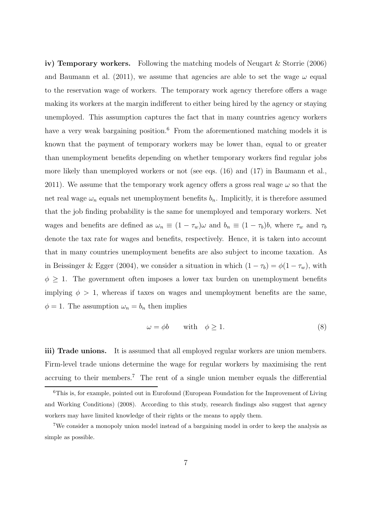iv) Temporary workers. Following the matching models of Neugart & Storrie (2006) and Baumann et al. (2011), we assume that agencies are able to set the wage  $\omega$  equal to the reservation wage of workers. The temporary work agency therefore offers a wage making its workers at the margin indifferent to either being hired by the agency or staying unemployed. This assumption captures the fact that in many countries agency workers have a very weak bargaining position.<sup>6</sup> From the aforementioned matching models it is known that the payment of temporary workers may be lower than, equal to or greater than unemployment benefits depending on whether temporary workers find regular jobs more likely than unemployed workers or not (see eqs. (16) and (17) in Baumann et al., 2011). We assume that the temporary work agency offers a gross real wage  $\omega$  so that the net real wage  $\omega_n$  equals net unemployment benefits  $b_n$ . Implicitly, it is therefore assumed that the job finding probability is the same for unemployed and temporary workers. Net wages and benefits are defined as  $\omega_n \equiv (1 - \tau_w)\omega$  and  $b_n \equiv (1 - \tau_b)b$ , where  $\tau_w$  and  $\tau_b$ denote the tax rate for wages and benefits, respectively. Hence, it is taken into account that in many countries unemployment benefits are also subject to income taxation. As in Beissinger & Egger (2004), we consider a situation in which  $(1 - \tau_b) = \phi(1 - \tau_w)$ , with  $\phi \geq 1$ . The government often imposes a lower tax burden on unemployment benefits implying  $\phi > 1$ , whereas if taxes on wages and unemployment benefits are the same,  $\phi = 1$ . The assumption  $\omega_n = b_n$  then implies

$$
\omega = \phi b \qquad \text{with} \quad \phi \ge 1. \tag{8}
$$

iii) Trade unions. It is assumed that all employed regular workers are union members. Firm-level trade unions determine the wage for regular workers by maximising the rent accruing to their members.<sup>7</sup> The rent of a single union member equals the differential

 $6$ This is, for example, pointed out in Eurofound (European Foundation for the Improvement of Living and Working Conditions) (2008). According to this study, research findings also suggest that agency workers may have limited knowledge of their rights or the means to apply them.

<sup>7</sup>We consider a monopoly union model instead of a bargaining model in order to keep the analysis as simple as possible.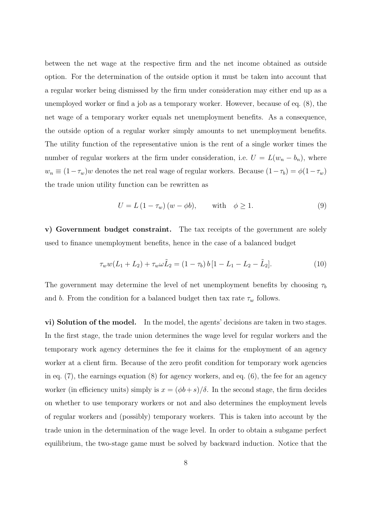between the net wage at the respective firm and the net income obtained as outside option. For the determination of the outside option it must be taken into account that a regular worker being dismissed by the firm under consideration may either end up as a unemployed worker or find a job as a temporary worker. However, because of eq. (8), the net wage of a temporary worker equals net unemployment benefits. As a consequence, the outside option of a regular worker simply amounts to net unemployment benefits. The utility function of the representative union is the rent of a single worker times the number of regular workers at the firm under consideration, i.e.  $U = L(w_n - b_n)$ , where  $w_n \equiv (1 - \tau_w)w$  denotes the net real wage of regular workers. Because  $(1 - \tau_b) = \phi(1 - \tau_w)$ the trade union utility function can be rewritten as

$$
U = L(1 - \tau_w)(w - \phi b), \quad \text{with} \quad \phi \ge 1. \tag{9}
$$

v) Government budget constraint. The tax receipts of the government are solely used to finance unemployment benefits, hence in the case of a balanced budget

$$
\tau_w w (L_1 + L_2) + \tau_w \omega \tilde{L}_2 = (1 - \tau_b) b [1 - L_1 - L_2 - \tilde{L}_2]. \tag{10}
$$

The government may determine the level of net unemployment benefits by choosing  $\tau_b$ and b. From the condition for a balanced budget then tax rate  $\tau_w$  follows.

vi) Solution of the model. In the model, the agents' decisions are taken in two stages. In the first stage, the trade union determines the wage level for regular workers and the temporary work agency determines the fee it claims for the employment of an agency worker at a client firm. Because of the zero profit condition for temporary work agencies in eq. (7), the earnings equation (8) for agency workers, and eq. (6), the fee for an agency worker (in efficiency units) simply is  $x = (\phi b + s)/\delta$ . In the second stage, the firm decides on whether to use temporary workers or not and also determines the employment levels of regular workers and (possibly) temporary workers. This is taken into account by the trade union in the determination of the wage level. In order to obtain a subgame perfect equilibrium, the two-stage game must be solved by backward induction. Notice that the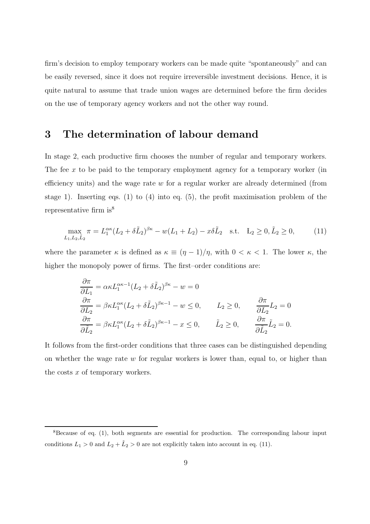firm's decision to employ temporary workers can be made quite "spontaneously" and can be easily reversed, since it does not require irreversible investment decisions. Hence, it is quite natural to assume that trade union wages are determined before the firm decides on the use of temporary agency workers and not the other way round.

## 3 The determination of labour demand

In stage 2, each productive firm chooses the number of regular and temporary workers. The fee  $x$  to be paid to the temporary employment agency for a temporary worker (in efficiency units) and the wage rate  $w$  for a regular worker are already determined (from stage 1). Inserting eqs. (1) to (4) into eq. (5), the profit maximisation problem of the representative firm  $is^8$ 

$$
\max_{L_1, L_2, \tilde{L}_2} \pi = L_1^{\alpha \kappa} (L_2 + \delta \tilde{L}_2)^{\beta \kappa} - w(L_1 + L_2) - x \delta \tilde{L}_2 \quad \text{s.t.} \quad L_2 \ge 0, \tilde{L}_2 \ge 0,
$$
 (11)

where the parameter  $\kappa$  is defined as  $\kappa \equiv (\eta - 1)/\eta$ , with  $0 < \kappa < 1$ . The lower  $\kappa$ , the higher the monopoly power of firms. The first–order conditions are:

$$
\frac{\partial \pi}{\partial L_1} = \alpha \kappa L_1^{\alpha \kappa - 1} (L_2 + \delta \tilde{L}_2)^{\beta \kappa} - w = 0
$$
  
\n
$$
\frac{\partial \pi}{\partial L_2} = \beta \kappa L_1^{\alpha \kappa} (L_2 + \delta \tilde{L}_2)^{\beta \kappa - 1} - w \le 0, \qquad L_2 \ge 0, \qquad \frac{\partial \pi}{\partial L_2} L_2 = 0
$$
  
\n
$$
\frac{\partial \pi}{\partial \tilde{L}_2} = \beta \kappa L_1^{\alpha \kappa} (L_2 + \delta \tilde{L}_2)^{\beta \kappa - 1} - x \le 0, \qquad \tilde{L}_2 \ge 0, \qquad \frac{\partial \pi}{\partial \tilde{L}_2} \tilde{L}_2 = 0.
$$

It follows from the first-order conditions that three cases can be distinguished depending on whether the wage rate  $w$  for regular workers is lower than, equal to, or higher than the costs  $x$  of temporary workers.

<sup>8</sup>Because of eq. (1), both segments are essential for production. The corresponding labour input conditions  $L_1 > 0$  and  $L_2 + \tilde{L}_2 > 0$  are not explicitly taken into account in eq. (11).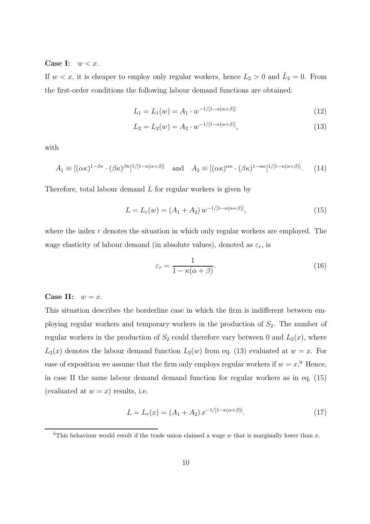Case I:  $w < x$ .

If  $w < x$ , it is cheaper to employ only regular workers, hence  $L_2 > 0$  and  $\tilde{L}_2 = 0$ . From the first-order conditions the following labour demand functions are obtained:

$$
L_1 = L_1(w) = A_1 \cdot w^{-1/[1 - \kappa(\alpha + \beta)]} \tag{12}
$$

$$
L_2 = L_2(w) = A_2 \cdot w^{-1/[1 - \kappa(\alpha + \beta)]},
$$
\n(13)

with

$$
A_1 \equiv [(\alpha \kappa)^{1-\beta \kappa} \cdot (\beta \kappa)^{\beta \kappa}]^{1/[1-\kappa(\alpha+\beta)]} \quad \text{and} \quad A_2 \equiv [(\alpha \kappa)^{\alpha \kappa} \cdot (\beta \kappa)^{1-\alpha \kappa}]^{1/[1-\kappa(\alpha+\beta)]}. \tag{14}
$$

Therefore, total labour demand  $L$  for regular workers is given by

$$
L = L_r(w) = (A_1 + A_2) w^{-1/[1 - \kappa(\alpha + \beta)]},
$$
\n(15)

where the index  $r$  denotes the situation in which only regular workers are employed. The wage elasticity of labour demand (in absolute values), denoted as  $\varepsilon_r$ , is

$$
\varepsilon_r = \frac{1}{1 - \kappa(\alpha + \beta)}.\tag{16}
$$

#### Case II:  $w = x$ .

This situation describes the borderline case in which the firm is indifferent between employing regular workers and temporary workers in the production of  $S_2$ . The number of regular workers in the production of  $S_2$  could therefore vary between 0 and  $L_2(x)$ , where  $L_2(x)$  denotes the labour demand function  $L_2(w)$  from eq. (13) evaluated at  $w = x$ . For ease of exposition we assume that the firm only employs regular workers if  $w = x^0$ . Hence, in case II the same labour demand demand function for regular workers as in eq. (15) (evaluated at  $w = x$ ) results, i.e.

$$
L = L_r(x) = (A_1 + A_2) x^{-1/[1 - \kappa(\alpha + \beta)]}.
$$
 (17)

<sup>&</sup>lt;sup>9</sup>This behaviour would result if the trade union claimed a wage w that is marginally lower than x.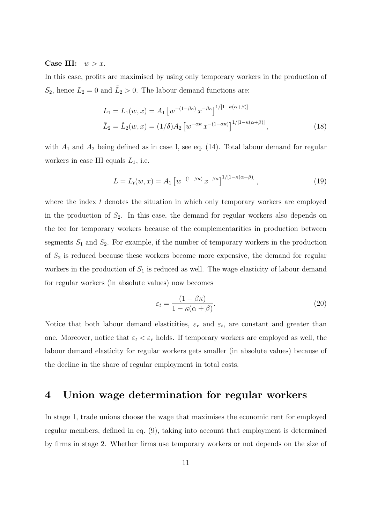#### Case III:  $w > x$ .

In this case, profits are maximised by using only temporary workers in the production of  $S_2$ , hence  $L_2 = 0$  and  $\tilde{L}_2 > 0$ . The labour demand functions are:

$$
L_1 = L_1(w, x) = A_1 \left[ w^{-(1-\beta\kappa)} x^{-\beta\kappa} \right]^{1/[1-\kappa(\alpha+\beta)]}
$$
  

$$
\tilde{L}_2 = \tilde{L}_2(w, x) = (1/\delta) A_2 \left[ w^{-\alpha\kappa} x^{-(1-\alpha\kappa)} \right]^{1/[1-\kappa(\alpha+\beta)]},
$$
 (18)

with  $A_1$  and  $A_2$  being defined as in case I, see eq. (14). Total labour demand for regular workers in case III equals  $L_1$ , i.e.

$$
L = L_t(w, x) = A_1 \left[ w^{-(1 - \beta \kappa)} x^{-\beta \kappa} \right]^{1/[1 - \kappa(\alpha + \beta)]}, \tag{19}
$$

where the index  $t$  denotes the situation in which only temporary workers are employed in the production of  $S_2$ . In this case, the demand for regular workers also depends on the fee for temporary workers because of the complementarities in production between segments  $S_1$  and  $S_2$ . For example, if the number of temporary workers in the production of  $S_2$  is reduced because these workers become more expensive, the demand for regular workers in the production of  $S_1$  is reduced as well. The wage elasticity of labour demand for regular workers (in absolute values) now becomes

$$
\varepsilon_t = \frac{(1 - \beta \kappa)}{1 - \kappa(\alpha + \beta)}.
$$
\n(20)

Notice that both labour demand elasticities,  $\varepsilon_r$  and  $\varepsilon_t$ , are constant and greater than one. Moreover, notice that  $\varepsilon_t < \varepsilon_r$  holds. If temporary workers are employed as well, the labour demand elasticity for regular workers gets smaller (in absolute values) because of the decline in the share of regular employment in total costs.

#### 4 Union wage determination for regular workers

In stage 1, trade unions choose the wage that maximises the economic rent for employed regular members, defined in eq. (9), taking into account that employment is determined by firms in stage 2. Whether firms use temporary workers or not depends on the size of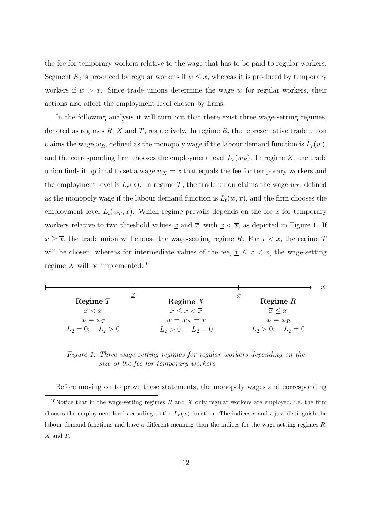the fee for temporary workers relative to the wage that has to be paid to regular workers. Segment  $S_2$  is produced by regular workers if  $w \leq x$ , whereas it is produced by temporary workers if  $w > x$ . Since trade unions determine the wage w for regular workers, their actions also affect the employment level chosen by firms.

In the following analysis it will turn out that there exist three wage-setting regimes, denoted as regimes  $R$ ,  $X$  and  $T$ , respectively. In regime  $R$ , the representative trade union claims the wage  $w_R$ , defined as the monopoly wage if the labour demand function is  $L_r(w)$ , and the corresponding firm chooses the employment level  $L_r(w_R)$ . In regime X, the trade union finds it optimal to set a wage  $w_X = x$  that equals the fee for temporary workers and the employment level is  $L_r(x)$ . In regime T, the trade union claims the wage  $w_T$ , defined as the monopoly wage if the labour demand function is  $L_t(w, x)$ , and the firm chooses the employment level  $L_t(w_T, x)$ . Which regime prevails depends on the fee x for temporary workers relative to two threshold values  $\underline{x}$  and  $\overline{x}$ , with  $\underline{x} < \overline{x}$ , as depicted in Figure 1. If  $x \geq \overline{x}$ , the trade union will choose the wage-setting regime R. For  $x < \underline{x}$ , the regime T will be chosen, whereas for intermediate values of the fee,  $x \leq x < \overline{x}$ , the wage-setting regime X will be implemented.<sup>10</sup>

|                          |                               |                                | $\boldsymbol{x}$ |
|--------------------------|-------------------------------|--------------------------------|------------------|
| Regime $T$               | $\underline{x}$<br>Regime $X$ | $\boldsymbol{x}$<br>Regime $R$ |                  |
| x < x                    | $x \leq x < \overline{x}$     | $\overline{x}$ < x             |                  |
| $w=w_T$                  | $w = w_X = x$                 | $w=w_R$                        |                  |
| $L_2 = 0; \quad L_2 > 0$ | $L_2 > 0; \quad L_2 = 0$      | $L_2 > 0$ ; $L_2 = 0$          |                  |

Figure 1: Three wage-setting regimes for regular workers depending on the size of the fee for temporary workers

Before moving on to prove these statements, the monopoly wages and corresponding

<sup>&</sup>lt;sup>10</sup>Notice that in the wage-setting regimes R and X only regular workers are employed, i.e. the firm chooses the employment level according to the  $L_r(w)$  function. The indices r and t just distinguish the labour demand functions and have a different meaning than the indices for the wage-setting regimes  $R$ ,  $X$  and  $T$ .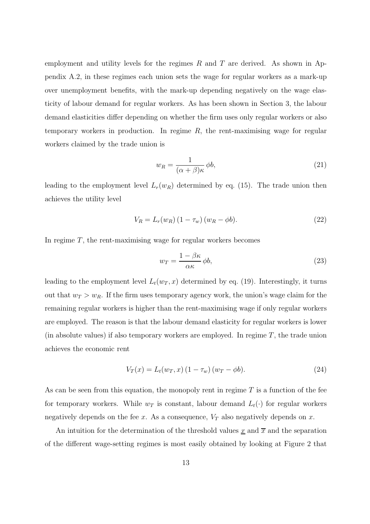employment and utility levels for the regimes  $R$  and  $T$  are derived. As shown in Appendix A.2, in these regimes each union sets the wage for regular workers as a mark-up over unemployment benefits, with the mark-up depending negatively on the wage elasticity of labour demand for regular workers. As has been shown in Section 3, the labour demand elasticities differ depending on whether the firm uses only regular workers or also temporary workers in production. In regime  $R$ , the rent-maximising wage for regular workers claimed by the trade union is

$$
w_R = \frac{1}{(\alpha + \beta)\kappa} \phi b,\tag{21}
$$

leading to the employment level  $L_r(w_R)$  determined by eq. (15). The trade union then achieves the utility level

$$
V_R = L_r(w_R) \left(1 - \tau_w\right) \left(w_R - \phi b\right). \tag{22}
$$

In regime  $T$ , the rent-maximising wage for regular workers becomes

$$
w_T = \frac{1 - \beta \kappa}{\alpha \kappa} \phi b,\tag{23}
$$

leading to the employment level  $L_t(w_T, x)$  determined by eq. (19). Interestingly, it turns out that  $w_T > w_R$ . If the firm uses temporary agency work, the union's wage claim for the remaining regular workers is higher than the rent-maximising wage if only regular workers are employed. The reason is that the labour demand elasticity for regular workers is lower (in absolute values) if also temporary workers are employed. In regime  $T$ , the trade union achieves the economic rent

$$
V_T(x) = L_t(w_T, x) (1 - \tau_w) (w_T - \phi b).
$$
 (24)

As can be seen from this equation, the monopoly rent in regime  $T$  is a function of the fee for temporary workers. While  $w_T$  is constant, labour demand  $L_t(\cdot)$  for regular workers negatively depends on the fee x. As a consequence,  $V_T$  also negatively depends on x.

An intuition for the determination of the threshold values  $\underline{x}$  and  $\overline{x}$  and the separation of the different wage-setting regimes is most easily obtained by looking at Figure 2 that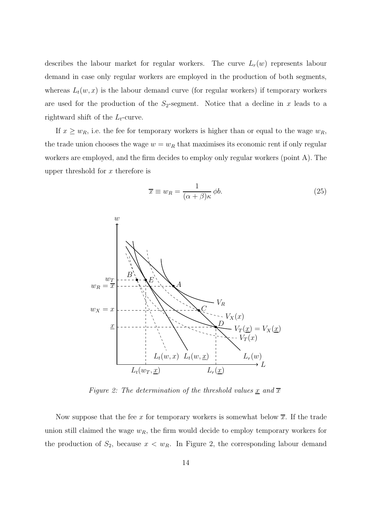describes the labour market for regular workers. The curve  $L_r(w)$  represents labour demand in case only regular workers are employed in the production of both segments, whereas  $L_t(w, x)$  is the labour demand curve (for regular workers) if temporary workers are used for the production of the  $S_2$ -segment. Notice that a decline in x leads to a rightward shift of the  $L_t$ -curve.

If  $x \geq w_R$ , i.e. the fee for temporary workers is higher than or equal to the wage  $w_R$ , the trade union chooses the wage  $w = w_R$  that maximises its economic rent if only regular workers are employed, and the firm decides to employ only regular workers (point A). The upper threshold for  $x$  therefore is

$$
\overline{x} \equiv w_R = \frac{1}{(\alpha + \beta)\kappa} \phi b. \tag{25}
$$



Figure 2: The determination of the threshold values  $\underline{x}$  and  $\overline{x}$ 

Now suppose that the fee x for temporary workers is somewhat below  $\overline{x}$ . If the trade union still claimed the wage  $w_R$ , the firm would decide to employ temporary workers for the production of  $S_2$ , because  $x < w_R$ . In Figure 2, the corresponding labour demand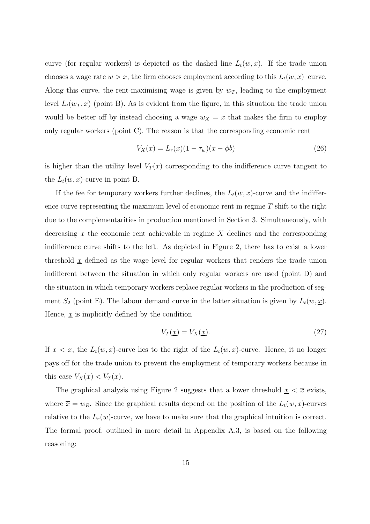curve (for regular workers) is depicted as the dashed line  $L_t(w, x)$ . If the trade union chooses a wage rate  $w > x$ , the firm chooses employment according to this  $L_t(w, x)$ –curve. Along this curve, the rent-maximising wage is given by  $w_T$ , leading to the employment level  $L_t(w_T, x)$  (point B). As is evident from the figure, in this situation the trade union would be better off by instead choosing a wage  $w_X = x$  that makes the firm to employ only regular workers (point C). The reason is that the corresponding economic rent

$$
V_X(x) = L_r(x)(1 - \tau_w)(x - \phi b)
$$
\n(26)

is higher than the utility level  $V_T(x)$  corresponding to the indifference curve tangent to the  $L_t(w, x)$ -curve in point B.

If the fee for temporary workers further declines, the  $L_t(w, x)$ -curve and the indifference curve representing the maximum level of economic rent in regime  $T$  shift to the right due to the complementarities in production mentioned in Section 3. Simultaneously, with decreasing x the economic rent achievable in regime  $X$  declines and the corresponding indifference curve shifts to the left. As depicted in Figure 2, there has to exist a lower threshold  $\underline{x}$  defined as the wage level for regular workers that renders the trade union indifferent between the situation in which only regular workers are used (point D) and the situation in which temporary workers replace regular workers in the production of segment  $S_2$  (point E). The labour demand curve in the latter situation is given by  $L_t(w, \underline{x})$ . Hence,  $\underline{x}$  is implicitly defined by the condition

$$
V_T(\underline{x}) = V_X(\underline{x}).\tag{27}
$$

If  $x < \underline{x}$ , the  $L_t(w, x)$ -curve lies to the right of the  $L_t(w, \underline{x})$ -curve. Hence, it no longer pays off for the trade union to prevent the employment of temporary workers because in this case  $V_X(x) < V_T(x)$ .

The graphical analysis using Figure 2 suggests that a lower threshold  $x < \overline{x}$  exists, where  $\overline{x} = w_R$ . Since the graphical results depend on the position of the  $L_t(w, x)$ -curves relative to the  $L_r(w)$ -curve, we have to make sure that the graphical intuition is correct. The formal proof, outlined in more detail in Appendix A.3, is based on the following reasoning: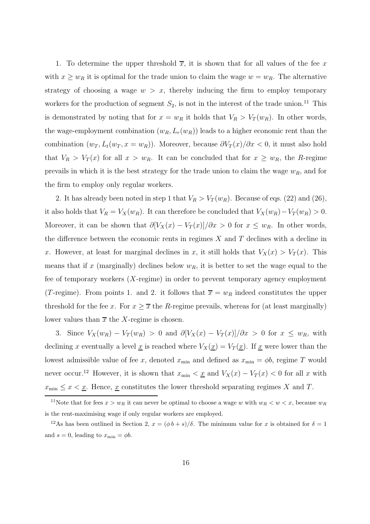1. To determine the upper threshold  $\overline{x}$ , it is shown that for all values of the fee x with  $x \geq w_R$  it is optimal for the trade union to claim the wage  $w = w_R$ . The alternative strategy of choosing a wage  $w > x$ , thereby inducing the firm to employ temporary workers for the production of segment  $S_2$ , is not in the interest of the trade union.<sup>11</sup> This is demonstrated by noting that for  $x = w_R$  it holds that  $V_R > V_T(w_R)$ . In other words, the wage-employment combination  $(w_R, L_r(w_R))$  leads to a higher economic rent than the combination  $(w_T, L_t(w_T, x = w_R))$ . Moreover, because  $\partial V_T(x)/\partial x < 0$ , it must also hold that  $V_R > V_T(x)$  for all  $x > w_R$ . It can be concluded that for  $x \geq w_R$ , the R-regime prevails in which it is the best strategy for the trade union to claim the wage  $w_R$ , and for the firm to employ only regular workers.

2. It has already been noted in step 1 that  $V_R > V_T(w_R)$ . Because of eqs. (22) and (26), it also holds that  $V_R = V_X(w_R)$ . It can therefore be concluded that  $V_X(w_R) - V_T(w_R) > 0$ . Moreover, it can be shown that  $\partial [V_X(x) - V_T(x)]/\partial x > 0$  for  $x \leq w_R$ . In other words, the difference between the economic rents in regimes  $X$  and  $T$  declines with a decline in x. However, at least for marginal declines in x, it still holds that  $V_X(x) > V_T(x)$ . This means that if x (marginally) declines below  $w_R$ , it is better to set the wage equal to the fee of temporary workers (X-regime) in order to prevent temporary agency employment (T-regime). From points 1. and 2. it follows that  $\overline{x} = w_R$  indeed constitutes the upper threshold for the fee x. For  $x \geq \overline{x}$  the R-regime prevails, whereas for (at least marginally) lower values than  $\bar{x}$  the X-regime is chosen.

3. Since  $V_X(w_R) - V_T(w_R) > 0$  and  $\partial [V_X(x) - V_T(x)]/\partial x > 0$  for  $x \leq w_R$ , with declining x eventually a level  $\underline{x}$  is reached where  $V_X(\underline{x}) = V_T(\underline{x})$ . If  $\underline{x}$  were lower than the lowest admissible value of fee x, denoted  $x_{\min}$  and defined as  $x_{\min} = \phi b$ , regime T would never occur.<sup>12</sup> However, it is shown that  $x_{\min} < \underline{x}$  and  $V_X(x) - V_T(x) < 0$  for all x with  $x_{\min} \leq x < \underline{x}$ . Hence,  $\underline{x}$  constitutes the lower threshold separating regimes X and T.

<sup>&</sup>lt;sup>11</sup>Note that for fees  $x > w_R$  it can never be optimal to choose a wage w with  $w_R < w < x$ , because  $w_R$ is the rent-maximising wage if only regular workers are employed.

<sup>&</sup>lt;sup>12</sup>As has been outlined in Section 2,  $x = (\phi b + s)/\delta$ . The minimum value for x is obtained for  $\delta = 1$ and  $s = 0$ , leading to  $x_{\min} = \phi b$ .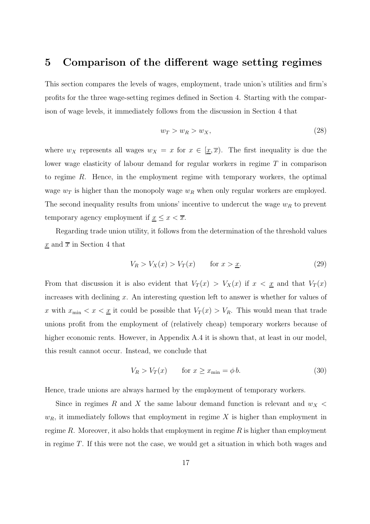#### 5 Comparison of the different wage setting regimes

This section compares the levels of wages, employment, trade union's utilities and firm's profits for the three wage-setting regimes defined in Section 4. Starting with the comparison of wage levels, it immediately follows from the discussion in Section 4 that

$$
w_T > w_R > w_X,\tag{28}
$$

where  $w_X$  represents all wages  $w_X = x$  for  $x \in [\underline{x}, \overline{x})$ . The first inequality is due the lower wage elasticity of labour demand for regular workers in regime T in comparison to regime R. Hence, in the employment regime with temporary workers, the optimal wage  $w_T$  is higher than the monopoly wage  $w_R$  when only regular workers are employed. The second inequality results from unions' incentive to undercut the wage  $w_R$  to prevent temporary agency employment if  $\underline{x} \leq x < \overline{x}$ .

Regarding trade union utility, it follows from the determination of the threshold values  $\underline{x}$  and  $\overline{x}$  in Section 4 that

$$
V_R > V_X(x) > V_T(x) \qquad \text{for } x > \underline{x}.\tag{29}
$$

From that discussion it is also evident that  $V_T(x) > V_X(x)$  if  $x < \underline{x}$  and that  $V_T(x)$ increases with declining  $x$ . An interesting question left to answer is whether for values of x with  $x_{\min} < x < \underline{x}$  it could be possible that  $V_T(x) > V_R$ . This would mean that trade unions profit from the employment of (relatively cheap) temporary workers because of higher economic rents. However, in Appendix A.4 it is shown that, at least in our model, this result cannot occur. Instead, we conclude that

$$
V_R > V_T(x) \qquad \text{for } x \ge x_{\text{min}} = \phi b. \tag{30}
$$

Hence, trade unions are always harmed by the employment of temporary workers.

Since in regimes R and X the same labour demand function is relevant and  $w<sub>X</sub>$  $w_R$ , it immediately follows that employment in regime X is higher than employment in regime R. Moreover, it also holds that employment in regime R is higher than employment in regime T. If this were not the case, we would get a situation in which both wages and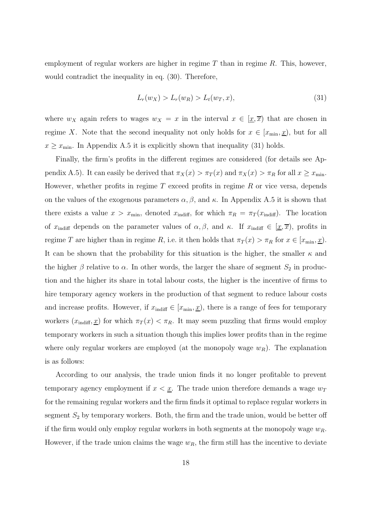employment of regular workers are higher in regime  $T$  than in regime  $R$ . This, however, would contradict the inequality in eq. (30). Therefore,

$$
L_r(w_X) > L_r(w_R) > L_t(w_T, x),
$$
\n(31)

where  $w_X$  again refers to wages  $w_X = x$  in the interval  $x \in [\underline{x}, \overline{x})$  that are chosen in regime X. Note that the second inequality not only holds for  $x \in [x_{\min}, x]$ , but for all  $x \geq x_{\min}$ . In Appendix A.5 it is explicitly shown that inequality (31) holds.

Finally, the firm's profits in the different regimes are considered (for details see Appendix A.5). It can easily be derived that  $\pi_X(x) > \pi_T(x)$  and  $\pi_X(x) > \pi_R$  for all  $x \geq x_{\min}$ . However, whether profits in regime  $T$  exceed profits in regime  $R$  or vice versa, depends on the values of the exogenous parameters  $\alpha, \beta$ , and  $\kappa$ . In Appendix A.5 it is shown that there exists a value  $x > x_{\text{min}}$ , denoted  $x_{\text{indiff}}$ , for which  $\pi_R = \pi_T(x_{\text{indiff}})$ . The location of  $x_{\text{indiff}}$  depends on the parameter values of  $\alpha, \beta$ , and  $\kappa$ . If  $x_{\text{indiff}} \in [\underline{x}, \overline{x})$ , profits in regime T are higher than in regime R, i.e. it then holds that  $\pi_T(x) > \pi_R$  for  $x \in [x_{\min}, \underline{x})$ . It can be shown that the probability for this situation is the higher, the smaller  $\kappa$  and the higher  $\beta$  relative to  $\alpha$ . In other words, the larger the share of segment  $S_2$  in production and the higher its share in total labour costs, the higher is the incentive of firms to hire temporary agency workers in the production of that segment to reduce labour costs and increase profits. However, if  $x_{\text{indiff}} \in [x_{\text{min}}, \underline{x})$ , there is a range of fees for temporary workers  $(x_{\text{indiff}}, \underline{x})$  for which  $\pi_T(x) < \pi_R$ . It may seem puzzling that firms would employ temporary workers in such a situation though this implies lower profits than in the regime where only regular workers are employed (at the monopoly wage  $w_R$ ). The explanation is as follows:

According to our analysis, the trade union finds it no longer profitable to prevent temporary agency employment if  $x < \underline{x}$ . The trade union therefore demands a wage  $w_T$ for the remaining regular workers and the firm finds it optimal to replace regular workers in segment  $S_2$  by temporary workers. Both, the firm and the trade union, would be better off if the firm would only employ regular workers in both segments at the monopoly wage  $w_R$ . However, if the trade union claims the wage  $w_R$ , the firm still has the incentive to deviate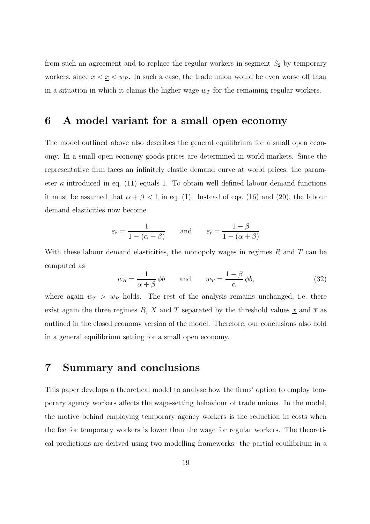from such an agreement and to replace the regular workers in segment  $S_2$  by temporary workers, since  $x < \underline{x} < w_R$ . In such a case, the trade union would be even worse off than in a situation in which it claims the higher wage  $w_T$  for the remaining regular workers.

## 6 A model variant for a small open economy

The model outlined above also describes the general equilibrium for a small open economy. In a small open economy goods prices are determined in world markets. Since the representative firm faces an infinitely elastic demand curve at world prices, the parameter  $\kappa$  introduced in eq. (11) equals 1. To obtain well defined labour demand functions it must be assumed that  $\alpha + \beta < 1$  in eq. (1). Instead of eqs. (16) and (20), the labour demand elasticities now become

$$
\varepsilon_r = \frac{1}{1 - (\alpha + \beta)}
$$
 and  $\varepsilon_t = \frac{1 - \beta}{1 - (\alpha + \beta)}$ 

With these labour demand elasticities, the monopoly wages in regimes  $R$  and  $T$  can be computed as

$$
w_R = \frac{1}{\alpha + \beta} \phi b \qquad \text{and} \qquad w_T = \frac{1 - \beta}{\alpha} \phi b,\tag{32}
$$

where again  $w_T > w_R$  holds. The rest of the analysis remains unchanged, i.e. there exist again the three regimes R, X and T separated by the threshold values  $\underline{x}$  and  $\overline{x}$  as outlined in the closed economy version of the model. Therefore, our conclusions also hold in a general equilibrium setting for a small open economy.

#### 7 Summary and conclusions

This paper develops a theoretical model to analyse how the firms' option to employ temporary agency workers affects the wage-setting behaviour of trade unions. In the model, the motive behind employing temporary agency workers is the reduction in costs when the fee for temporary workers is lower than the wage for regular workers. The theoretical predictions are derived using two modelling frameworks: the partial equilibrium in a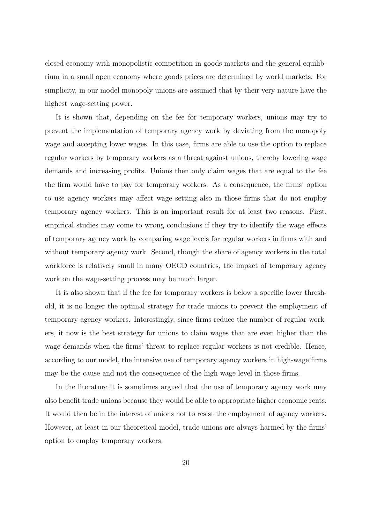closed economy with monopolistic competition in goods markets and the general equilibrium in a small open economy where goods prices are determined by world markets. For simplicity, in our model monopoly unions are assumed that by their very nature have the highest wage-setting power.

It is shown that, depending on the fee for temporary workers, unions may try to prevent the implementation of temporary agency work by deviating from the monopoly wage and accepting lower wages. In this case, firms are able to use the option to replace regular workers by temporary workers as a threat against unions, thereby lowering wage demands and increasing profits. Unions then only claim wages that are equal to the fee the firm would have to pay for temporary workers. As a consequence, the firms' option to use agency workers may affect wage setting also in those firms that do not employ temporary agency workers. This is an important result for at least two reasons. First, empirical studies may come to wrong conclusions if they try to identify the wage effects of temporary agency work by comparing wage levels for regular workers in firms with and without temporary agency work. Second, though the share of agency workers in the total workforce is relatively small in many OECD countries, the impact of temporary agency work on the wage-setting process may be much larger.

It is also shown that if the fee for temporary workers is below a specific lower threshold, it is no longer the optimal strategy for trade unions to prevent the employment of temporary agency workers. Interestingly, since firms reduce the number of regular workers, it now is the best strategy for unions to claim wages that are even higher than the wage demands when the firms' threat to replace regular workers is not credible. Hence, according to our model, the intensive use of temporary agency workers in high-wage firms may be the cause and not the consequence of the high wage level in those firms.

In the literature it is sometimes argued that the use of temporary agency work may also benefit trade unions because they would be able to appropriate higher economic rents. It would then be in the interest of unions not to resist the employment of agency workers. However, at least in our theoretical model, trade unions are always harmed by the firms' option to employ temporary workers.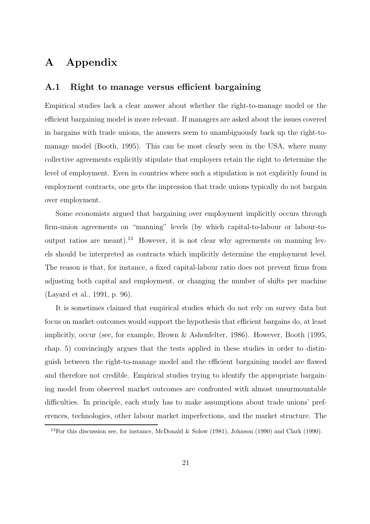# A Appendix

#### A.1 Right to manage versus efficient bargaining

Empirical studies lack a clear answer about whether the right-to-manage model or the efficient bargaining model is more relevant. If managers are asked about the issues covered in bargains with trade unions, the answers seem to unambiguously back up the right-tomanage model (Booth, 1995). This can be most clearly seen in the USA, where many collective agreements explicitly stipulate that employers retain the right to determine the level of employment. Even in countries where such a stipulation is not explicitly found in employment contracts, one gets the impression that trade unions typically do not bargain over employment.

Some economists argued that bargaining over employment implicitly occurs through firm-union agreements on "manning" levels (by which capital-to-labour or labour-tooutput ratios are meant).<sup>13</sup> However, it is not clear why agreements on manning levels should be interpreted as contracts which implicitly determine the employment level. The reason is that, for instance, a fixed capital-labour ratio does not prevent firms from adjusting both capital and employment, or changing the number of shifts per machine (Layard et al., 1991, p. 96).

It is sometimes claimed that empirical studies which do not rely on survey data but focus on market outcomes would support the hypothesis that efficient bargains do, at least implicitly, occur (see, for example, Brown & Ashenfelter, 1986). However, Booth (1995, chap. 5) convincingly argues that the tests applied in these studies in order to distinguish between the right-to-manage model and the efficient bargaining model are flawed and therefore not credible. Empirical studies trying to identify the appropriate bargaining model from observed market outcomes are confronted with almost unsurmountable difficulties. In principle, each study has to make assumptions about trade unions' preferences, technologies, other labour market imperfections, and the market structure. The

<sup>&</sup>lt;sup>13</sup>For this discussion see, for instance, McDonald & Solow (1981), Johnson (1990) and Clark (1990).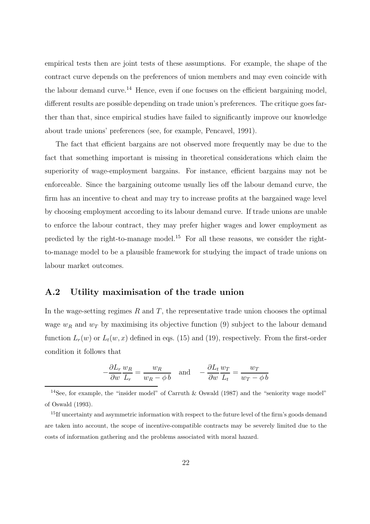empirical tests then are joint tests of these assumptions. For example, the shape of the contract curve depends on the preferences of union members and may even coincide with the labour demand curve.<sup>14</sup> Hence, even if one focuses on the efficient bargaining model, different results are possible depending on trade union's preferences. The critique goes farther than that, since empirical studies have failed to significantly improve our knowledge about trade unions' preferences (see, for example, Pencavel, 1991).

The fact that efficient bargains are not observed more frequently may be due to the fact that something important is missing in theoretical considerations which claim the superiority of wage-employment bargains. For instance, efficient bargains may not be enforceable. Since the bargaining outcome usually lies off the labour demand curve, the firm has an incentive to cheat and may try to increase profits at the bargained wage level by choosing employment according to its labour demand curve. If trade unions are unable to enforce the labour contract, they may prefer higher wages and lower employment as predicted by the right-to-manage model.<sup>15</sup> For all these reasons, we consider the rightto-manage model to be a plausible framework for studying the impact of trade unions on labour market outcomes.

#### A.2 Utility maximisation of the trade union

In the wage-setting regimes  $R$  and  $T$ , the representative trade union chooses the optimal wage  $w_R$  and  $w_T$  by maximising its objective function (9) subject to the labour demand function  $L_r(w)$  or  $L_t(w, x)$  defined in eqs. (15) and (19), respectively. From the first-order condition it follows that

$$
-\frac{\partial L_r}{\partial w}\frac{w_R}{L_r} = \frac{w_R}{w_R - \phi b} \quad \text{and} \quad -\frac{\partial L_t}{\partial w}\frac{w_T}{L_t} = \frac{w_T}{w_T - \phi b}
$$

<sup>&</sup>lt;sup>14</sup>See, for example, the "insider model" of Carruth & Oswald (1987) and the "seniority wage model" of Oswald (1993).

<sup>&</sup>lt;sup>15</sup>If uncertainty and asymmetric information with respect to the future level of the firm's goods demand are taken into account, the scope of incentive-compatible contracts may be severely limited due to the costs of information gathering and the problems associated with moral hazard.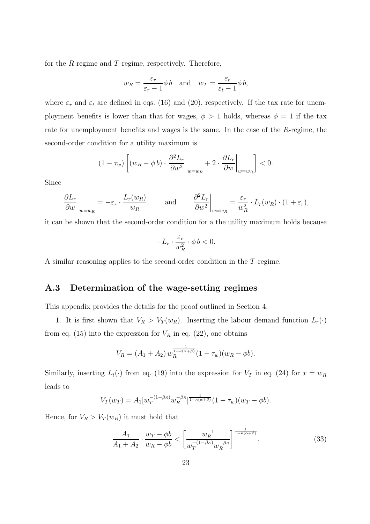for the R-regime and T-regime, respectively. Therefore,

$$
w_R = \frac{\varepsilon_r}{\varepsilon_r - 1} \phi b
$$
 and  $w_T = \frac{\varepsilon_t}{\varepsilon_t - 1} \phi b$ ,

where  $\varepsilon_r$  and  $\varepsilon_t$  are defined in eqs. (16) and (20), respectively. If the tax rate for unemployment benefits is lower than that for wages,  $\phi > 1$  holds, whereas  $\phi = 1$  if the tax rate for unemployment benefits and wages is the same. In the case of the R-regime, the second-order condition for a utility maximum is

$$
(1 - \tau_w) \left[ (w_R - \phi b) \cdot \frac{\partial^2 L_r}{\partial w^2} \bigg|_{w = w_R} + 2 \cdot \frac{\partial L_r}{\partial w} \bigg|_{w = w_R} \right] < 0.
$$

Since

$$
\left. \frac{\partial L_r}{\partial w} \right|_{w=w_R} = -\varepsilon_r \cdot \frac{L_r(w_R)}{w_R}, \quad \text{and} \quad \left. \frac{\partial^2 L_r}{\partial w^2} \right|_{w=w_R} = \frac{\varepsilon_r}{w_R^2} \cdot L_r(w_R) \cdot (1 + \varepsilon_r),
$$

it can be shown that the second-order condition for a the utility maximum holds because

$$
-L_r\cdot\frac{\varepsilon_r}{w_R^2}\cdot\phi\,b<0.
$$

A similar reasoning applies to the second-order condition in the T-regime.

#### A.3 Determination of the wage-setting regimes

This appendix provides the details for the proof outlined in Section 4.

1. It is first shown that  $V_R > V_T(w_R)$ . Inserting the labour demand function  $L_r(\cdot)$ from eq. (15) into the expression for  $V_R$  in eq. (22), one obtains

$$
V_R = (A_1 + A_2) w_R^{\frac{-1}{1 - \kappa(\alpha + \beta)}} (1 - \tau_w) (w_R - \phi b).
$$

Similarly, inserting  $L_t(\cdot)$  from eq. (19) into the expression for  $V_T$  in eq. (24) for  $x = w_R$ leads to

$$
V_T(w_T) = A_1[w_T^{-(1-\beta\kappa)}w_R^{-\beta\kappa}]^{\frac{1}{1-\kappa(\alpha+\beta)}}(1-\tau_w)(w_T-\phi b).
$$

Hence, for  $V_R > V_T(w_R)$  it must hold that

$$
\frac{A_1}{A_1 + A_2} \cdot \frac{w_T - \phi b}{w_R - \phi b} < \left[ \frac{w_R^{-1}}{w_T^{-(1 - \beta \kappa)} w_R^{-\beta \kappa}} \right]^{\frac{1}{1 - \kappa (\alpha + \beta)}}. \tag{33}
$$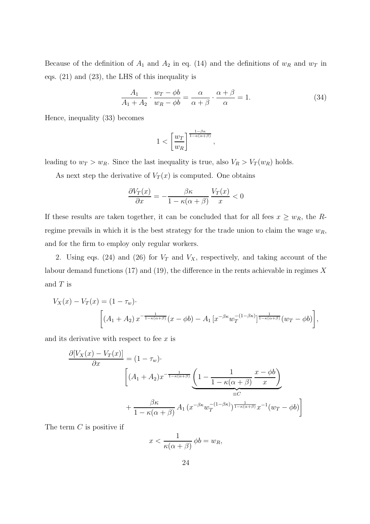Because of the definition of  $A_1$  and  $A_2$  in eq. (14) and the definitions of  $w_R$  and  $w_T$  in eqs. (21) and (23), the LHS of this inequality is

$$
\frac{A_1}{A_1 + A_2} \cdot \frac{w_T - \phi b}{w_R - \phi b} = \frac{\alpha}{\alpha + \beta} \cdot \frac{\alpha + \beta}{\alpha} = 1.
$$
 (34)

,

Hence, inequality (33) becomes

$$
1<\left[\frac{w_T}{w_R}\right]^{\frac{1-\beta\kappa}{1-\kappa(\alpha+\beta)}}
$$

leading to  $w_T > w_R$ . Since the last inequality is true, also  $V_R > V_T(w_R)$  holds.

As next step the derivative of  $V_T(x)$  is computed. One obtains

$$
\frac{\partial V_T(x)}{\partial x} = -\frac{\beta \kappa}{1 - \kappa(\alpha + \beta)} \frac{V_T(x)}{x} < 0
$$

If these results are taken together, it can be concluded that for all fees  $x \ge w_R$ , the Rregime prevails in which it is the best strategy for the trade union to claim the wage  $w_R$ , and for the firm to employ only regular workers.

2. Using eqs. (24) and (26) for  $V_T$  and  $V_X$ , respectively, and taking account of the labour demand functions (17) and (19), the difference in the rents achievable in regimes  $X$ and  $T$  is

$$
V_X(x) - V_T(x) = (1 - \tau_w) \cdot \left[ (A_1 + A_2) x^{-\frac{1}{1 - \kappa(\alpha + \beta)}} (x - \phi b) - A_1 \left[ x^{-\beta \kappa} w_T^{-(1 - \beta \kappa)} \right]_{1 - \kappa(\alpha + \beta)}^{1} (w_T - \phi b) \right],
$$

and its derivative with respect to fee  $x$  is

$$
\frac{\partial [V_X(x) - V_T(x)]}{\partial x} = (1 - \tau_w) \cdot \left[ (A_1 + A_2) x^{-\frac{1}{1 - \kappa(\alpha + \beta)}} \underbrace{\left( 1 - \frac{1}{1 - \kappa(\alpha + \beta)} \frac{x - \phi b}{x} \right)}_{\equiv C} + \frac{\beta \kappa}{1 - \kappa(\alpha + \beta)} A_1 \left( x^{-\beta \kappa} w_T^{-(1 - \beta \kappa)} \right)^{\frac{1}{1 - \kappa(\alpha + \beta)}} x^{-1} (w_T - \phi b) \right]
$$

The term  $C$  is positive if

$$
x < \frac{1}{\kappa(\alpha + \beta)} \, \phi b = w_R,
$$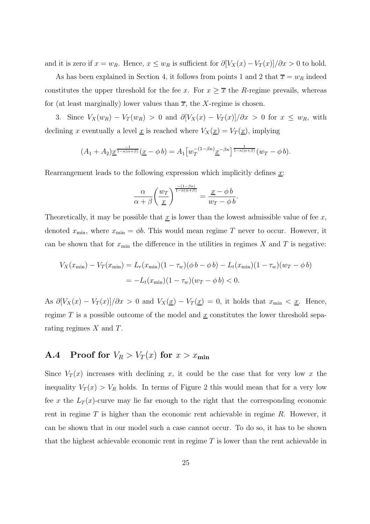and it is zero if  $x = w_R$ . Hence,  $x \le w_R$  is sufficient for  $\partial [V_X(x) - V_T(x)]/\partial x > 0$  to hold.

As has been explained in Section 4, it follows from points 1 and 2 that  $\overline{x} = w_R$  indeed constitutes the upper threshold for the fee x. For  $x \geq \overline{x}$  the R-regime prevails, whereas for (at least marginally) lower values than  $\overline{x}$ , the X-regime is chosen.

3. Since  $V_X(w_R) - V_T(w_R) > 0$  and  $\partial [V_X(x) - V_T(x)]/\partial x > 0$  for  $x \leq w_R$ , with declining x eventually a level  $\underline{x}$  is reached where  $V_X(\underline{x}) = V_T(\underline{x})$ , implying

$$
(A_1 + A_2) \underline{x}^{\frac{-1}{1 - \kappa(\alpha + \beta)}}(\underline{x} - \phi b) = A_1 \big[ w_T^{-(1 - \beta \kappa)} \underline{x}^{-\beta \kappa} \big]^{\frac{1}{1 - \kappa(\alpha + \beta)}}(w_T - \phi b).
$$

Rearrangement leads to the following expression which implicitly defines  $x$ :

$$
\frac{\alpha}{\alpha+\beta}\bigg(\frac{w_T}{\underline{x}}\bigg)^{\frac{-(1-\beta\kappa)}{1-\kappa(\alpha+\beta)}}=\frac{\underline{x}-\phi\,b}{w_T-\phi\,b}.
$$

Theoretically, it may be possible that  $\underline{x}$  is lower than the lowest admissible value of fee  $x$ , denoted  $x_{\min}$ , where  $x_{\min} = \phi b$ . This would mean regime T never to occur. However, it can be shown that for  $x_{\min}$  the difference in the utilities in regimes X and T is negative:

$$
V_X(x_{\min}) - V_T(x_{\min}) = L_r(x_{\min})(1 - \tau_w)(\phi \, b - \phi \, b) - L_t(x_{\min})(1 - \tau_w)(w_T - \phi \, b)
$$
  
= 
$$
-L_t(x_{\min})(1 - \tau_w)(w_T - \phi \, b) < 0.
$$

As  $\partial [V_X(x) - V_T(x)]/\partial x > 0$  and  $V_X(\underline{x}) - V_T(\underline{x}) = 0$ , it holds that  $x_{\min} < \underline{x}$ . Hence, regime T is a possible outcome of the model and  $\underline{x}$  constitutes the lower threshold separating regimes  $X$  and  $T$ .

## A.4 Proof for  $V_R > V_T(x)$  for  $x > x_{\text{min}}$

Since  $V_T(x)$  increases with declining x, it could be the case that for very low x the inequality  $V_T(x) > V_R$  holds. In terms of Figure 2 this would mean that for a very low fee x the  $L_T(x)$ -curve may lie far enough to the right that the corresponding economic rent in regime  $T$  is higher than the economic rent achievable in regime  $R$ . However, it can be shown that in our model such a case cannot occur. To do so, it has to be shown that the highest achievable economic rent in regime  $T$  is lower than the rent achievable in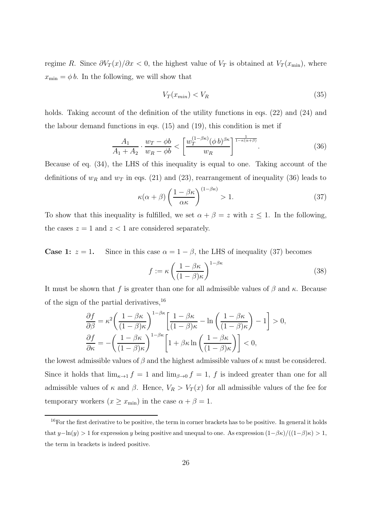regime R. Since  $\partial V_T(x)/\partial x < 0$ , the highest value of  $V_T$  is obtained at  $V_T(x_{\min})$ , where  $x_{\min} = \phi b$ . In the following, we will show that

$$
V_T(x_{min}) < V_R \tag{35}
$$

holds. Taking account of the definition of the utility functions in eqs. (22) and (24) and the labour demand functions in eqs. (15) and (19), this condition is met if

$$
\frac{A_1}{A_1 + A_2} \cdot \frac{w_T - \phi b}{w_R - \phi b} < \left[ \frac{w_T^{(1 - \beta \kappa)} (\phi b)^{\beta \kappa}}{w_R} \right]^{\frac{1}{1 - \kappa (\alpha + \beta)}}. \tag{36}
$$

Because of eq. (34), the LHS of this inequality is equal to one. Taking account of the definitions of  $w_R$  and  $w_T$  in eqs. (21) and (23), rearrangement of inequality (36) leads to

$$
\kappa(\alpha + \beta) \left(\frac{1 - \beta \kappa}{\alpha \kappa}\right)^{(1 - \beta \kappa)} > 1.
$$
\n(37)

To show that this inequality is fulfilled, we set  $\alpha + \beta = z$  with  $z \leq 1$ . In the following, the cases  $z = 1$  and  $z < 1$  are considered separately.

**Case 1:**  $z = 1$ . Since in this case  $\alpha = 1 - \beta$ , the LHS of inequality (37) becomes

$$
f := \kappa \left( \frac{1 - \beta \kappa}{(1 - \beta)\kappa} \right)^{1 - \beta \kappa} \tag{38}
$$

It must be shown that f is greater than one for all admissible values of  $\beta$  and  $\kappa$ . Because of the sign of the partial derivatives,  $^{16}$ 

$$
\frac{\partial f}{\partial \beta} = \kappa^2 \left( \frac{1 - \beta \kappa}{(1 - \beta)\kappa} \right)^{1 - \beta \kappa} \left[ \frac{1 - \beta \kappa}{(1 - \beta)\kappa} - \ln \left( \frac{1 - \beta \kappa}{(1 - \beta)\kappa} \right) - 1 \right] > 0,
$$
  

$$
\frac{\partial f}{\partial \kappa} = - \left( \frac{1 - \beta \kappa}{(1 - \beta)\kappa} \right)^{1 - \beta \kappa} \left[ 1 + \beta \kappa \ln \left( \frac{1 - \beta \kappa}{(1 - \beta)\kappa} \right) \right] < 0,
$$

the lowest admissible values of  $\beta$  and the highest admissible values of  $\kappa$  must be considered. Since it holds that  $\lim_{\kappa \to 1} f = 1$  and  $\lim_{\beta \to 0} f = 1$ , f is indeed greater than one for all admissible values of  $\kappa$  and  $\beta$ . Hence,  $V_R > V_T(x)$  for all admissible values of the fee for temporary workers  $(x \geq x_{\min})$  in the case  $\alpha + \beta = 1$ .

 $16$ For the first derivative to be positive, the term in corner brackets has to be positive. In general it holds that  $y-\ln(y) > 1$  for expression y being positive and unequal to one. As expression  $(1-\beta\kappa)/((1-\beta)\kappa) > 1$ , the term in brackets is indeed positive.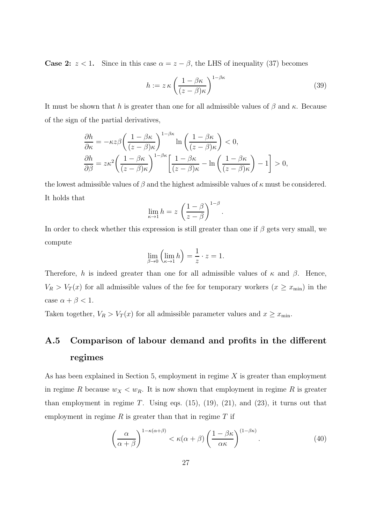**Case 2:**  $z < 1$ . Since in this case  $\alpha = z - \beta$ , the LHS of inequality (37) becomes

$$
h := z \kappa \left(\frac{1 - \beta \kappa}{(z - \beta)\kappa}\right)^{1 - \beta \kappa} \tag{39}
$$

.

It must be shown that h is greater than one for all admissible values of  $\beta$  and  $\kappa$ . Because of the sign of the partial derivatives,

$$
\begin{split} &\frac{\partial h}{\partial \kappa} = -\kappa z \beta \left( \frac{1 - \beta \kappa}{(z - \beta)\kappa} \right)^{1 - \beta \kappa} \ln \left( \frac{1 - \beta \kappa}{(z - \beta)\kappa} \right) < 0, \\ &\frac{\partial h}{\partial \beta} = z \kappa^2 \left( \frac{1 - \beta \kappa}{(z - \beta)\kappa} \right)^{1 - \beta \kappa} \left[ \frac{1 - \beta \kappa}{(z - \beta)\kappa} - \ln \left( \frac{1 - \beta \kappa}{(z - \beta)\kappa} \right) - 1 \right] > 0, \end{split}
$$

the lowest admissible values of  $\beta$  and the highest admissible values of  $\kappa$  must be considered. It holds that

$$
\lim_{\kappa \to 1} h = z \left( \frac{1 - \beta}{z - \beta} \right)^{1 - \beta}
$$

In order to check whether this expression is still greater than one if  $\beta$  gets very small, we compute

$$
\lim_{\beta \to 0} \left( \lim_{\kappa \to 1} h \right) = \frac{1}{z} \cdot z = 1.
$$

Therefore, h is indeed greater than one for all admissible values of  $\kappa$  and  $\beta$ . Hence,  $V_R > V_T(x)$  for all admissible values of the fee for temporary workers  $(x \ge x_{\min})$  in the case  $\alpha + \beta < 1$ .

Taken together,  $V_R > V_T(x)$  for all admissible parameter values and  $x \geq x_{\min}$ .

# A.5 Comparison of labour demand and profits in the different regimes

As has been explained in Section 5, employment in regime  $X$  is greater than employment in regime R because  $w_X < w_R$ . It is now shown that employment in regime R is greater than employment in regime  $T$ . Using eqs.  $(15)$ ,  $(19)$ ,  $(21)$ , and  $(23)$ , it turns out that employment in regime  $R$  is greater than that in regime  $T$  if

$$
\left(\frac{\alpha}{\alpha+\beta}\right)^{1-\kappa(\alpha+\beta)} < \kappa(\alpha+\beta)\left(\frac{1-\beta\kappa}{\alpha\kappa}\right)^{(1-\beta\kappa)}.\tag{40}
$$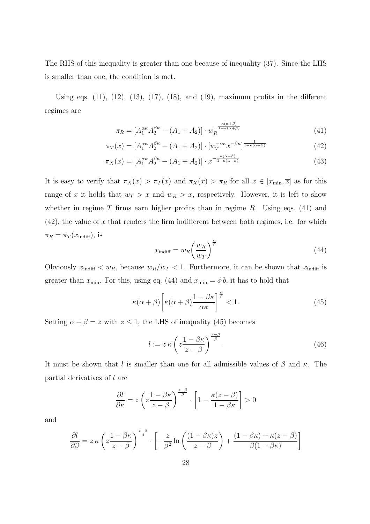The RHS of this inequality is greater than one because of inequality (37). Since the LHS is smaller than one, the condition is met.

Using eqs.  $(11)$ ,  $(12)$ ,  $(13)$ ,  $(17)$ ,  $(18)$ , and  $(19)$ , maximum profits in the different regimes are

$$
\pi_R = \left[A_1^{\alpha\kappa} A_2^{\beta\kappa} - (A_1 + A_2)\right] \cdot w_R^{-\frac{\kappa(\alpha+\beta)}{1-\kappa(\alpha+\beta)}}
$$
(41)

$$
\pi_T(x) = [A_1^{\alpha\kappa} A_2^{\beta\kappa} - (A_1 + A_2)] \cdot [w_T^{-\alpha\kappa} x^{-\beta\kappa}]^{\frac{1}{1 - \kappa(\alpha + \beta)}} \tag{42}
$$

$$
\pi_X(x) = \left[A_1^{\alpha\kappa} A_2^{\beta\kappa} - (A_1 + A_2)\right] \cdot x^{-\frac{\kappa(\alpha+\beta)}{1-\kappa(\alpha+\beta)}}
$$
(43)

It is easy to verify that  $\pi_X(x) > \pi_T(x)$  and  $\pi_X(x) > \pi_R$  for all  $x \in [x_{\min}, \overline{x}]$  as for this range of x it holds that  $w_T > x$  and  $w_R > x$ , respectively. However, it is left to show whether in regime  $T$  firms earn higher profits than in regime  $R$ . Using eqs. (41) and  $(42)$ , the value of x that renders the firm indifferent between both regimes, i.e. for which  $\pi_R = \pi_T(x_{\text{indiff}})$ , is

$$
x_{\text{indiff}} = w_R \left(\frac{w_R}{w_T}\right)^{\frac{\alpha}{\beta}}
$$
\n(44)

Obviously  $x_{\text{indiff}} < w_R$ , because  $w_R/w_T < 1$ . Furthermore, it can be shown that  $x_{\text{indiff}}$  is greater than  $x_{\min}$ . For this, using eq. (44) and  $x_{\min} = \phi b$ , it has to hold that

$$
\kappa(\alpha+\beta)\left[\kappa(\alpha+\beta)\frac{1-\beta\kappa}{\alpha\kappa}\right]^{\frac{\alpha}{\beta}} < 1. \tag{45}
$$

Setting  $\alpha + \beta = z$  with  $z \le 1$ , the LHS of inequality (45) becomes

$$
l := z \kappa \left( z \frac{1 - \beta \kappa}{z - \beta} \right)^{\frac{z - \beta}{\beta}}.
$$
\n(46)

It must be shown that l is smaller than one for all admissible values of  $\beta$  and  $\kappa$ . The partial derivatives of l are

$$
\frac{\partial l}{\partial \kappa} = z \left( z \frac{1 - \beta \kappa}{z - \beta} \right)^{\frac{z - \beta}{\beta}} \cdot \left[ 1 - \frac{\kappa (z - \beta)}{1 - \beta \kappa} \right] > 0
$$

and

$$
\frac{\partial l}{\partial \beta} = z \kappa \left( z \frac{1 - \beta \kappa}{z - \beta} \right)^{\frac{z - \beta}{\beta}} \cdot \left[ -\frac{z}{\beta^2} \ln \left( \frac{(1 - \beta \kappa)z}{z - \beta} \right) + \frac{(1 - \beta \kappa) - \kappa (z - \beta)}{\beta (1 - \beta \kappa)} \right]
$$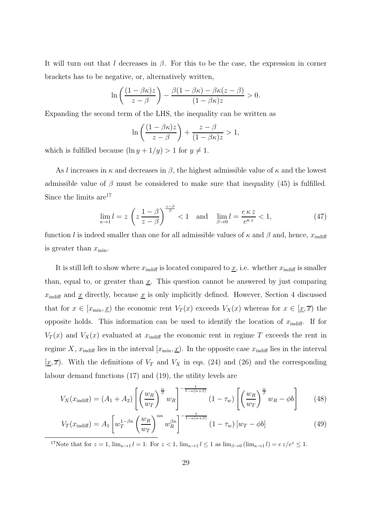It will turn out that l decreases in  $\beta$ . For this to be the case, the expression in corner brackets has to be negative, or, alternatively written,

$$
\ln\left(\frac{(1-\beta\kappa)z}{z-\beta}\right)-\frac{\beta(1-\beta\kappa)-\beta\kappa(z-\beta)}{(1-\beta\kappa)z}>0.
$$

Expanding the second term of the LHS, the inequality can be written as

$$
\ln\left(\frac{(1-\beta\kappa)z}{z-\beta}\right) + \frac{z-\beta}{(1-\beta\kappa)z} > 1,
$$

which is fulfilled because  $(\ln y + 1/y) > 1$  for  $y \neq 1$ .

As l increases in  $\kappa$  and decreases in  $\beta$ , the highest admissible value of  $\kappa$  and the lowest admissible value of  $\beta$  must be considered to make sure that inequality (45) is fulfilled. Since the limits are<sup>17</sup>

$$
\lim_{\kappa \to 1} l = z \left( z \frac{1 - \beta}{z - \beta} \right)^{\frac{z - \beta}{\beta}} < 1 \quad \text{and} \quad \lim_{\beta \to 0} l = \frac{e \kappa z}{e^{\kappa z}} < 1,
$$
\n
$$
(47)
$$

function l is indeed smaller than one for all admissible values of  $\kappa$  and  $\beta$  and, hence,  $x_{\text{indiff}}$ is greater than  $x_{\min}$ .

It is still left to show where  $x_{\text{indiff}}$  is located compared to  $\underline{x}$ , i.e. whether  $x_{\text{indiff}}$  is smaller than, equal to, or greater than  $\underline{x}$ . This question cannot be answered by just comparing  $x_{\text{indiff}}$  and  $\underline{x}$  directly, because  $\underline{x}$  is only implicitly defined. However, Section 4 discussed that for  $x \in [x_{\min}, \underline{x}]$  the economic rent  $V_T(x)$  exceeds  $V_X(x)$  whereas for  $x \in [\underline{x}, \overline{x}]$  the opposite holds. This information can be used to identify the location of  $x_{\text{indiff}}$ . If for  $V_T(x)$  and  $V_X(x)$  evaluated at  $x_{\text{indiff}}$  the economic rent in regime T exceeds the rent in regime X,  $x_{\text{indiff}}$  lies in the interval  $(x_{\text{min}}, \underline{x})$ . In the opposite case  $x_{\text{indiff}}$  lies in the interval  $[x, \overline{x})$ . With the definitions of  $V_T$  and  $V_X$  in eqs. (24) and (26) and the corresponding labour demand functions (17) and (19), the utility levels are

$$
V_X(x_{\text{indiff}}) = (A_1 + A_2) \left[ \left( \frac{w_R}{w_T} \right)^{\frac{\alpha}{\beta}} w_R \right]^{-\frac{1}{1 - \kappa(\alpha + \beta)}} (1 - \tau_w) \left[ \left( \frac{w_R}{w_T} \right)^{\frac{\alpha}{\beta}} w_R - \phi b \right]
$$
(48)

$$
V_T(x_{\text{indiff}}) = A_1 \left[ w_T^{1-\beta\kappa} \left( \frac{w_R}{w_T} \right)^{\alpha\kappa} w_R^{\beta\kappa} \right]^{-\frac{1}{1-\kappa(\alpha+\beta)}} (1-\tau_w) \left[ w_T - \phi b \right]
$$
(49)

<sup>17</sup>Note that for  $z = 1$ ,  $\lim_{\kappa \to 1} l = 1$ . For  $z < 1$ ,  $\lim_{\kappa \to 1} l \le 1$  as  $\lim_{\beta \to 0} (\lim_{\kappa \to 1} l) = e z/e^z \le 1$ .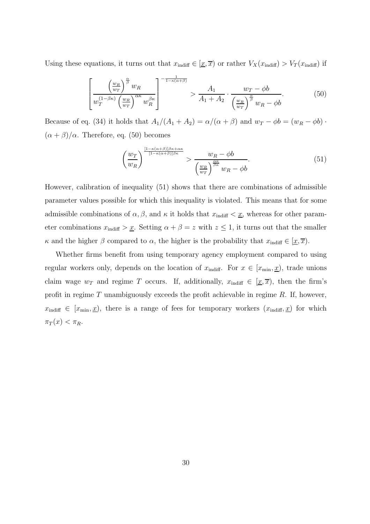Using these equations, it turns out that  $x_{\text{indiff}} \in [\underline{x}, \overline{x})$  or rather  $V_X(x_{\text{indiff}}) > V_T(x_{\text{indiff}})$  if

$$
\left[\frac{\left(\frac{w_R}{w_T}\right)^{\frac{\alpha}{\beta}}w_R}{w_T^{(1-\beta\kappa)}\left(\frac{w_R}{w_T}\right)^{\alpha\kappa}w_R^{\beta\kappa}}\right]^{-\frac{1}{1-\kappa(\alpha+\beta)}} > \frac{A_1}{A_1+A_2} \cdot \frac{w_T - \phi b}{\left(\frac{w_R}{w_T}\right)^{\frac{\alpha}{\beta}}w_R - \phi b}.\tag{50}
$$

Because of eq. (34) it holds that  $A_1/(A_1 + A_2) = \alpha/(\alpha + \beta)$  and  $w_T - \phi b = (w_R - \phi b)$ .  $(\alpha + \beta)/\alpha$ . Therefore, eq. (50) becomes

$$
\left(\frac{w_T}{w_R}\right)^{\frac{[1-\kappa(\alpha+\beta)]\beta\kappa+\alpha\kappa}{[1-\kappa(\alpha+\beta)]\beta\kappa}} > \frac{w_R - \phi b}{\left(\frac{w_R}{w_T}\right)^{\frac{\alpha\kappa}{\beta\kappa}}w_R - \phi b}.\tag{51}
$$

However, calibration of inequality (51) shows that there are combinations of admissible parameter values possible for which this inequality is violated. This means that for some admissible combinations of  $\alpha$ ,  $\beta$ , and  $\kappa$  it holds that  $x_{\text{indiff}} < \underline{x}$ , whereas for other parameter combinations  $x_{\text{indiff}} > \underline{x}$ . Setting  $\alpha + \beta = z$  with  $z \leq 1$ , it turns out that the smaller κ and the higher β compared to  $\alpha$ , the higher is the probability that  $x_{\text{indiff}} \in [\underline{x}, \overline{x})$ .

Whether firms benefit from using temporary agency employment compared to using regular workers only, depends on the location of  $x_{\text{indiff}}$ . For  $x \in [x_{\text{min}}, \underline{x})$ , trade unions claim wage  $w_T$  and regime T occurs. If, additionally,  $x_{\text{indiff}} \in [\underline{x}, \overline{x})$ , then the firm's profit in regime T unambiguously exceeds the profit achievable in regime  $R$ . If, however,  $x_{\text{indiff}} \in [x_{\text{min}}, \underline{x})$ , there is a range of fees for temporary workers  $(x_{\text{indiff}}, \underline{x})$  for which  $\pi_T(x) < \pi_R$ .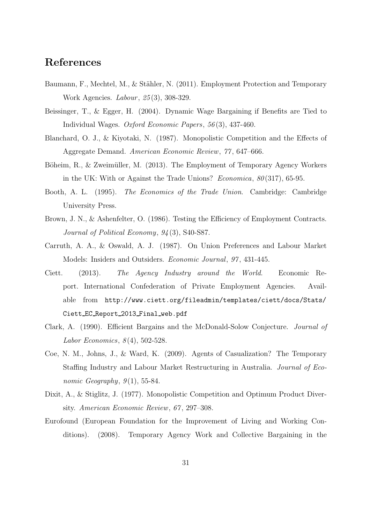# References

- Baumann, F., Mechtel, M., & Stähler, N. (2011). Employment Protection and Temporary Work Agencies. *Labour*, 25(3), 308-329.
- Beissinger, T., & Egger, H. (2004). Dynamic Wage Bargaining if Benefits are Tied to Individual Wages. Oxford Economic Papers, 56 (3), 437-460.
- Blanchard, O. J., & Kiyotaki, N. (1987). Monopolistic Competition and the Effects of Aggregate Demand. American Economic Review, 77 , 647–666.
- Böheim, R., & Zweimüller, M. (2013). The Employment of Temporary Agency Workers in the UK: With or Against the Trade Unions? Economica,  $80(317)$ , 65-95.
- Booth, A. L. (1995). The Economics of the Trade Union. Cambridge: Cambridge University Press.
- Brown, J. N., & Ashenfelter, O. (1986). Testing the Efficiency of Employment Contracts. Journal of Political Economy, 94 (3), S40-S87.
- Carruth, A. A., & Oswald, A. J. (1987). On Union Preferences and Labour Market Models: Insiders and Outsiders. Economic Journal, 97 , 431-445.
- Ciett. (2013). The Agency Industry around the World. Economic Report. International Confederation of Private Employment Agencies. Available from http://www.ciett.org/fileadmin/templates/ciett/docs/Stats/ Ciett EC Report 2013 Final web.pdf
- Clark, A. (1990). Efficient Bargains and the McDonald-Solow Conjecture. Journal of Labor Economics,  $8(4)$ , 502-528.
- Coe, N. M., Johns, J., & Ward, K. (2009). Agents of Casualization? The Temporary Staffing Industry and Labour Market Restructuring in Australia. Journal of Economic Geography,  $9(1)$ , 55-84.
- Dixit, A., & Stiglitz, J. (1977). Monopolistic Competition and Optimum Product Diversity. American Economic Review, 67 , 297–308.
- Eurofound (European Foundation for the Improvement of Living and Working Conditions). (2008). Temporary Agency Work and Collective Bargaining in the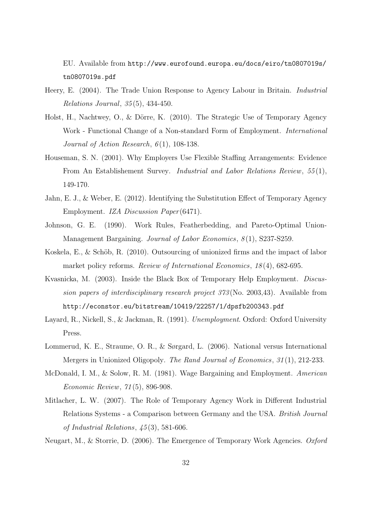EU. Available from http://www.eurofound.europa.eu/docs/eiro/tn0807019s/ tn0807019s.pdf

- Heery, E. (2004). The Trade Union Response to Agency Labour in Britain. Industrial Relations Journal, 35 (5), 434-450.
- Holst, H., Nachtwey, O., & Dörre, K. (2010). The Strategic Use of Temporary Agency Work - Functional Change of a Non-standard Form of Employment. International Journal of Action Research,  $6(1)$ , 108-138.
- Houseman, S. N. (2001). Why Employers Use Flexible Staffing Arrangements: Evidence From An Establishement Survey. Industrial and Labor Relations Review, 55 (1), 149-170.
- Jahn, E. J., & Weber, E. (2012). Identifying the Substitution Effect of Temporary Agency Employment. IZA Discussion Paper (6471).
- Johnson, G. E. (1990). Work Rules, Featherbedding, and Pareto-Optimal Union-Management Bargaining. Journal of Labor Economics,  $8(1)$ , S237-S259.
- Koskela, E.,  $\&$  Schöb, R. (2010). Outsourcing of unionized firms and the impact of labor market policy reforms. Review of International Economics, 18(4), 682-695.
- Kvasnicka, M. (2003). Inside the Black Box of Temporary Help Employment. Discussion papers of interdisciplinary research project 373 (No. 2003,43). Available from http://econstor.eu/bitstream/10419/22257/1/dpsfb200343.pdf
- Layard, R., Nickell, S., & Jackman, R. (1991). Unemployment. Oxford: Oxford University Press.
- Lommerud, K. E., Straume, O. R., & Sørgard, L. (2006). National versus International Mergers in Unionized Oligopoly. The Rand Journal of Economics, 31 (1), 212-233.
- McDonald, I. M., & Solow, R. M. (1981). Wage Bargaining and Employment. American Economic Review, 71 (5), 896-908.
- Mitlacher, L. W. (2007). The Role of Temporary Agency Work in Different Industrial Relations Systems - a Comparison between Germany and the USA. British Journal of Industrial Relations, 45 (3), 581-606.
- Neugart, M., & Storrie, D. (2006). The Emergence of Temporary Work Agencies. Oxford